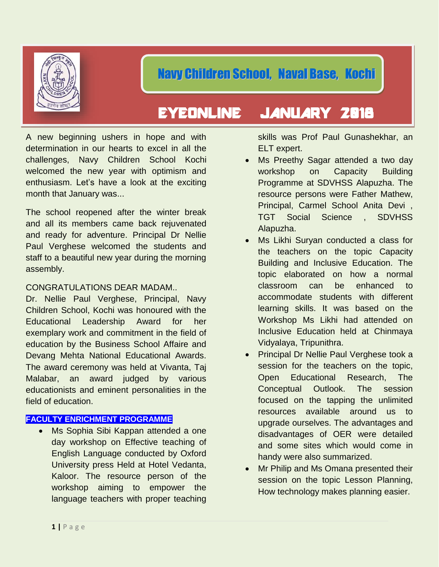

# EYEONLINE JANUARY 2018

A new beginning ushers in hope and with determination in our hearts to excel in all the challenges, Navy Children School Kochi welcomed the new year with optimism and enthusiasm. Let's have a look at the exciting month that January was...

The school reopened after the winter break and all its members came back rejuvenated and ready for adventure. Principal Dr Nellie Paul Verghese welcomed the students and staff to a beautiful new year during the morning assembly.

# CONGRATULATIONS DEAR MADAM..

Dr. Nellie Paul Verghese, Principal, Navy Children School, Kochi was honoured with the Educational Leadership Award for her exemplary work and commitment in the field of education by the Business School Affaire and Devang Mehta National Educational Awards. The award ceremony was held at Vivanta, Taj Malabar, an award judged by various educationists and eminent personalities in the field of education.

# **FACULTY ENRICHMENT PROGRAMME**

Ms Sophia Sibi Kappan attended a one day workshop on Effective teaching of English Language conducted by Oxford University press Held at Hotel Vedanta, Kaloor. The resource person of the workshop aiming to empower the language teachers with proper teaching skills was Prof Paul Gunashekhar, an ELT expert.

- Ms Preethy Sagar attended a two day workshop on Capacity Building Programme at SDVHSS Alapuzha. The resource persons were Father Mathew, Principal, Carmel School Anita Devi , TGT Social Science , SDVHSS Alapuzha.
- Ms Likhi Suryan conducted a class for the teachers on the topic Capacity Building and Inclusive Education. The topic elaborated on how a normal classroom can be enhanced to accommodate students with different learning skills. It was based on the Workshop Ms Likhi had attended on Inclusive Education held at Chinmaya Vidyalaya, Tripunithra.
- Principal Dr Nellie Paul Verghese took a session for the teachers on the topic, Open Educational Research, The Conceptual Outlook. The session focused on the tapping the unlimited resources available around us to upgrade ourselves. The advantages and disadvantages of OER were detailed and some sites which would come in handy were also summarized.
- Mr Philip and Ms Omana presented their session on the topic Lesson Planning, How technology makes planning easier.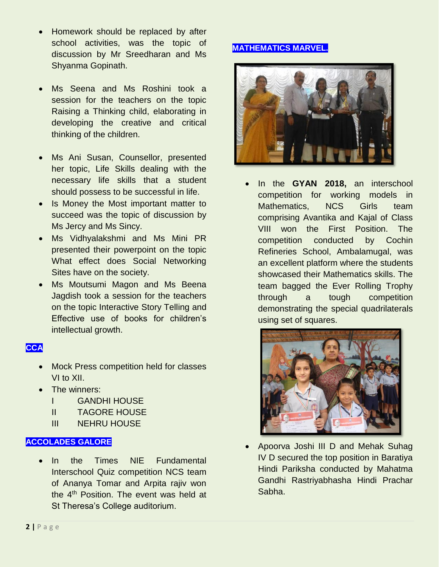- Homework should be replaced by after school activities, was the topic of discussion by Mr Sreedharan and Ms Shyanma Gopinath.
- Ms Seena and Ms Roshini took a session for the teachers on the topic Raising a Thinking child, elaborating in developing the creative and critical thinking of the children.
- Ms Ani Susan, Counsellor, presented her topic, Life Skills dealing with the necessary life skills that a student should possess to be successful in life.
- Is Money the Most important matter to succeed was the topic of discussion by Ms Jercy and Ms Sincy.
- Ms Vidhyalakshmi and Ms Mini PR presented their powerpoint on the topic What effect does Social Networking Sites have on the society.
- Ms Moutsumi Magon and Ms Beena Jagdish took a session for the teachers on the topic Interactive Story Telling and Effective use of books for children's intellectual growth.

# **CCA**

- Mock Press competition held for classes VI to XII.
- The winners:
	- I GANDHI HOUSE
	- II TAGORE HOUSE
	- III NEHRU HOUSE

#### **ACCOLADES GALORE**

• In the Times NIE Fundamental Interschool Quiz competition NCS team of Ananya Tomar and Arpita rajiv won the 4<sup>th</sup> Position. The event was held at St Theresa's College auditorium.

# **MATHEMATICS MARVEL.**



• In the **GYAN 2018,** an interschool competition for working models in Mathematics, NCS Girls team comprising Avantika and Kajal of Class VIII won the First Position. The competition conducted by Cochin Refineries School, Ambalamugal, was an excellent platform where the students showcased their Mathematics skills. The team bagged the Ever Rolling Trophy through a tough competition demonstrating the special quadrilaterals using set of squares.



• Apoorva Joshi III D and Mehak Suhag IV D secured the top position in Baratiya Hindi Pariksha conducted by Mahatma Gandhi Rastriyabhasha Hindi Prachar Sabha.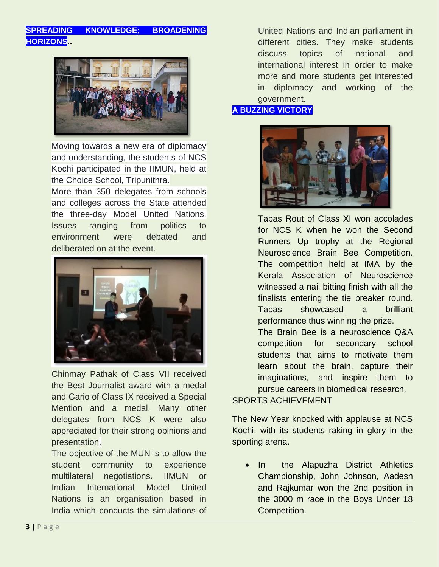# **SPREADING KNOWLEDGE; BROADENING HORIZONS..**



Moving towards a new era of diplomacy and understanding, the students of NCS Kochi participated in the IIMUN, held at the Choice School, Tripunithra.

More than 350 delegates from schools and colleges across the State attended the three-day Model United Nations. Issues ranging from politics to environment were debated and deliberated on at the event.



Chinmay Pathak of Class VII received the Best Journalist award with a medal and Gario of Class IX received a Special Mention and a medal. Many other delegates from NCS K were also appreciated for their strong opinions and presentation.

The objective of the MUN is to allow the student community to experience multilateral negotiations**.** IIMUN or Indian International Model United Nations is an organisation based in India which conducts the simulations of

United Nations and Indian parliament in different cities. They make students discuss topics of national and international interest in order to make more and more students get interested in diplomacy and working of the government.

# **A BUZZING VICTORY**



Tapas Rout of Class XI won accolades for NCS K when he won the Second Runners Up trophy at the Regional Neuroscience Brain Bee Competition. The competition held at IMA by the Kerala Association of Neuroscience witnessed a nail bitting finish with all the finalists entering the tie breaker round. Tapas showcased a brilliant performance thus winning the prize.

The Brain Bee is a neuroscience Q&A competition for secondary school students that aims to motivate them learn about the brain, capture their imaginations, and inspire them to pursue careers in biomedical research.

#### SPORTS ACHIEVEMENT

The New Year knocked with applause at NCS Kochi, with its students raking in glory in the sporting arena.

• In the Alapuzha District Athletics Championship, John Johnson, Aadesh and Rajkumar won the 2nd position in the 3000 m race in the Boys Under 18 Competition.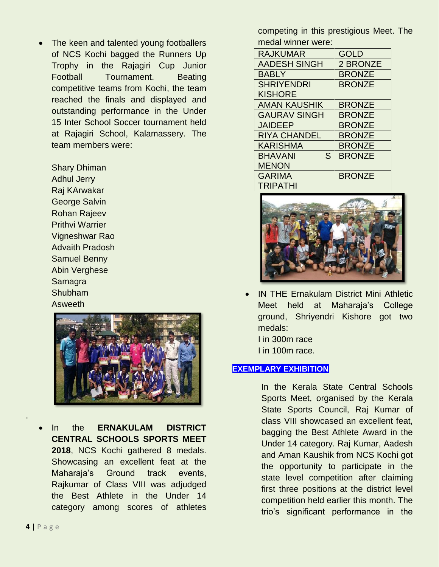• The keen and talented young footballers of NCS Kochi bagged the Runners Up Trophy in the Rajagiri Cup Junior Football Tournament. Beating competitive teams from Kochi, the team reached the finals and displayed and outstanding performance in the Under 15 Inter School Soccer tournament held at Rajagiri School, Kalamassery. The team members were:

Shary Dhiman Adhul Jerry Raj KArwakar George Salvin Rohan Rajeev Prithvi Warrier Vigneshwar Rao Advaith Pradosh Samuel Benny Abin Verghese Samagra Shubham Asweeth



In the **ERNAKULAM DISTRICT CENTRAL SCHOOLS SPORTS MEET 2018**, NCS Kochi gathered 8 medals. Showcasing an excellent feat at the Maharaja's Ground track events, Rajkumar of Class VIII was adjudged the Best Athlete in the Under 14 category among scores of athletes competing in this prestigious Meet. The medal winner were:

| <b>RAJKUMAR</b>     | <b>GOLD</b>   |
|---------------------|---------------|
| <b>AADESH SINGH</b> | 2 BRONZE      |
| <b>BABLY</b>        | <b>BRONZE</b> |
| <b>SHRIYENDRI</b>   | <b>BRONZE</b> |
| <b>KISHORE</b>      |               |
| <b>AMAN KAUSHIK</b> | <b>BRONZE</b> |
| <b>GAURAV SINGH</b> | <b>BRONZE</b> |
| <b>JAIDEEP</b>      | <b>BRONZE</b> |
| <b>RIYA CHANDEL</b> | <b>BRONZE</b> |
| <b>KARISHMA</b>     | <b>BRONZE</b> |
| S<br><b>BHAVANI</b> | <b>BRONZE</b> |
| <b>MENON</b>        |               |
| <b>GARIMA</b>       | <b>BRONZE</b> |
| <b>TRIPATHI</b>     |               |



• IN THE Ernakulam District Mini Athletic Meet held at Maharaja's College ground, Shriyendri Kishore got two medals: I in 300m race I in 100m race.

#### **EXEMPLARY EXHIBITION**

In the Kerala State Central Schools Sports Meet, organised by the Kerala State Sports Council, Raj Kumar of class VIII showcased an excellent feat, bagging the Best Athlete Award in the Under 14 category. Raj Kumar, Aadesh and Aman Kaushik from NCS Kochi got the opportunity to participate in the state level competition after claiming first three positions at the district level competition held earlier this month. The trio's significant performance in the

.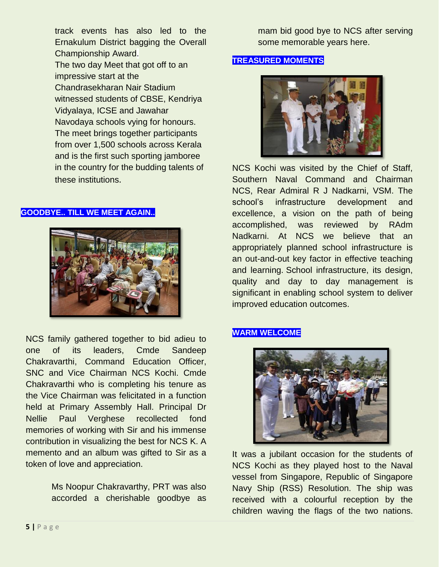track events has also led to the Ernakulum District bagging the Overall Championship Award. The two day Meet that got off to an impressive start at the Chandrasekharan Nair Stadium witnessed students of CBSE, Kendriya Vidyalaya, ICSE and Jawahar Navodaya schools vying for honours. The meet brings together participants from over 1,500 schools across Kerala and is the first such sporting jamboree in the country for the budding talents of these institutions.

#### **GOODBYE.. TILL WE MEET AGAIN..**



NCS family gathered together to bid adieu to one of its leaders, Cmde Sandeep Chakravarthi, Command Education Officer, SNC and Vice Chairman NCS Kochi. Cmde Chakravarthi who is completing his tenure as the Vice Chairman was felicitated in a function held at Primary Assembly Hall. Principal Dr Nellie Paul Verghese recollected fond memories of working with Sir and his immense contribution in visualizing the best for NCS K. A memento and an album was gifted to Sir as a token of love and appreciation.

> Ms Noopur Chakravarthy, PRT was also accorded a cherishable goodbye as

mam bid good bye to NCS after serving some memorable years here.

#### **TREASURED MOMENTS**



NCS Kochi was visited by the Chief of Staff, Southern Naval Command and Chairman NCS, Rear Admiral R J Nadkarni, VSM. The school's infrastructure development and excellence, a vision on the path of being accomplished, was reviewed by RAdm Nadkarni. At NCS we believe that an appropriately planned school infrastructure is an out-and-out key factor in effective teaching and learning. School infrastructure, its design, quality and day to day management is significant in enabling school system to deliver improved education outcomes.

#### **WARM WELCOME**



It was a jubilant occasion for the students of NCS Kochi as they played host to the Naval vessel from Singapore, Republic of Singapore Navy Ship (RSS) Resolution. The ship was received with a colourful reception by the children waving the flags of the two nations.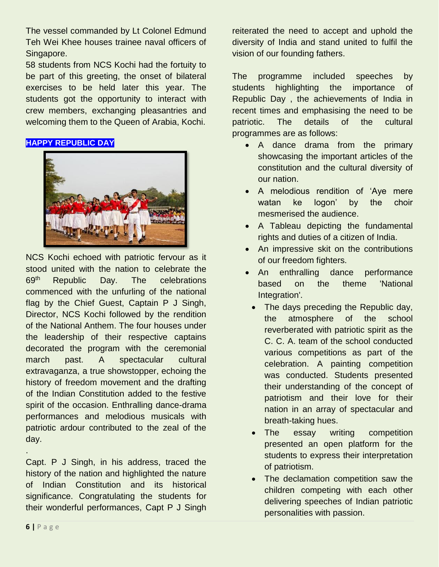The vessel commanded by Lt Colonel Edmund Teh Wei Khee houses trainee naval officers of Singapore.

58 students from NCS Kochi had the fortuity to be part of this greeting, the onset of bilateral exercises to be held later this year. The students got the opportunity to interact with crew members, exchanging pleasantries and welcoming them to the Queen of Arabia, Kochi.

# **HAPPY REPUBLIC DAY**



NCS Kochi echoed with patriotic fervour as it stood united with the nation to celebrate the 69<sup>th</sup> Republic Day. The celebrations commenced with the unfurling of the national flag by the Chief Guest, Captain P J Singh, Director, NCS Kochi followed by the rendition of the National Anthem. The four houses under the leadership of their respective captains decorated the program with the ceremonial march past. A spectacular cultural extravaganza, a true showstopper, echoing the history of freedom movement and the drafting of the Indian Constitution added to the festive spirit of the occasion. Enthralling dance-drama performances and melodious musicals with patriotic ardour contributed to the zeal of the day.

Capt. P J Singh, in his address, traced the history of the nation and highlighted the nature of Indian Constitution and its historical significance. Congratulating the students for their wonderful performances, Capt P J Singh

reiterated the need to accept and uphold the diversity of India and stand united to fulfil the vision of our founding fathers.

The programme included speeches by students highlighting the importance of Republic Day , the achievements of India in recent times and emphasising the need to be patriotic. The details of the cultural programmes are as follows:

- A dance drama from the primary showcasing the important articles of the constitution and the cultural diversity of our nation.
- A melodious rendition of 'Aye mere watan ke logon' by the choir mesmerised the audience.
- A Tableau depicting the fundamental rights and duties of a citizen of India.
- An impressive skit on the contributions of our freedom fighters.
- An enthralling dance performance based on the theme 'National Integration'.
	- The days preceding the Republic day, the atmosphere of the school reverberated with patriotic spirit as the C. C. A. team of the school conducted various competitions as part of the celebration. A painting competition was conducted. Students presented their understanding of the concept of patriotism and their love for their nation in an array of spectacular and breath-taking hues.
	- The essay writing competition presented an open platform for the students to express their interpretation of patriotism.
	- The declamation competition saw the children competing with each other delivering speeches of Indian patriotic personalities with passion.

.